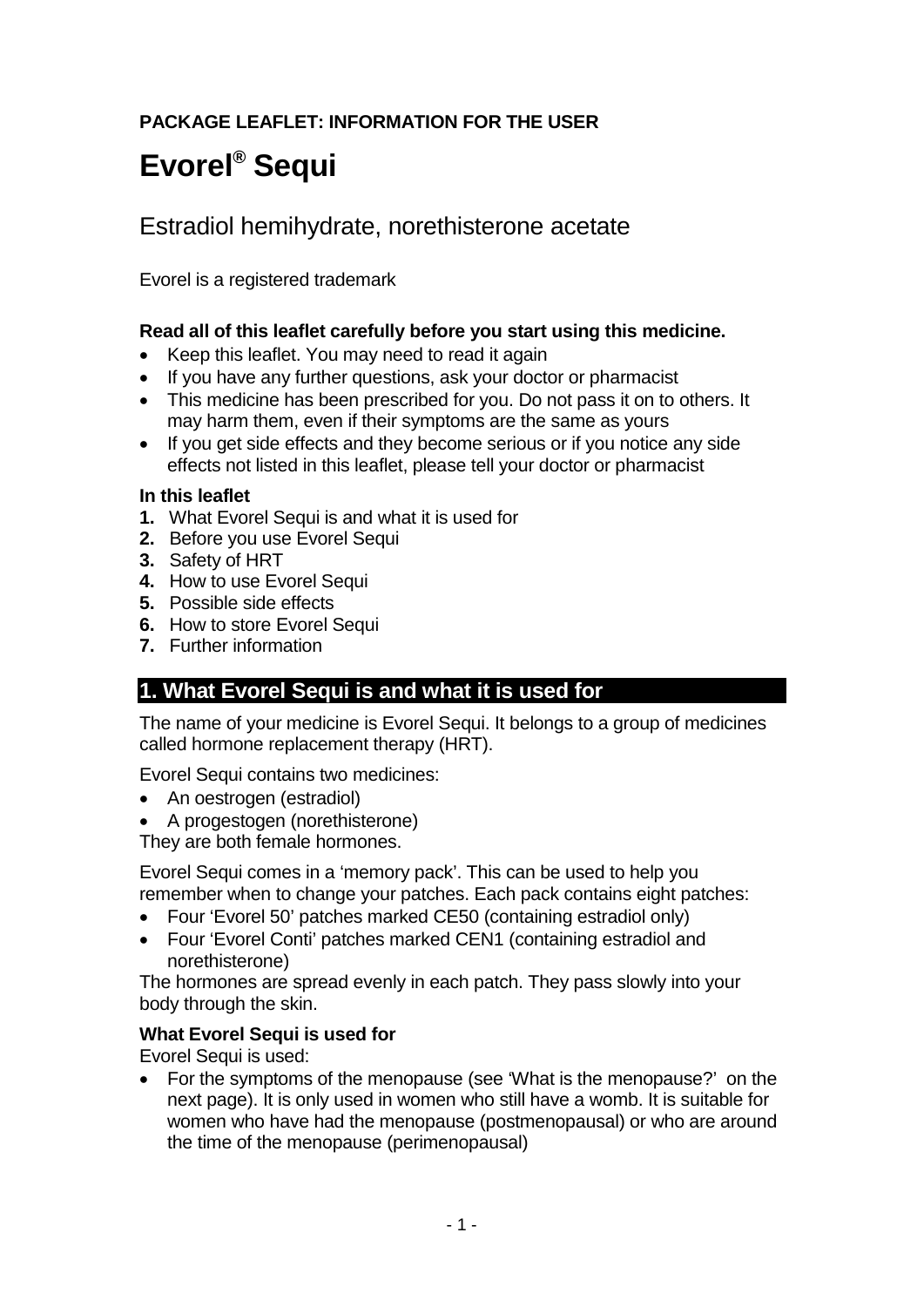# **PACKAGE LEAFLET: INFORMATION FOR THE USER**

# **Evorel® Sequi**

# Estradiol hemihydrate, norethisterone acetate

Evorel is a registered trademark

### **Read all of this leaflet carefully before you start using this medicine.**

- Keep this leaflet. You may need to read it again
- If you have any further questions, ask your doctor or pharmacist
- This medicine has been prescribed for you. Do not pass it on to others. It may harm them, even if their symptoms are the same as yours
- If you get side effects and they become serious or if you notice any side effects not listed in this leaflet, please tell your doctor or pharmacist

#### **In this leaflet**

- **1.** What Evorel Sequi is and what it is used for
- **2.** Before you use Evorel Sequi
- **3.** Safety of HRT
- **4.** How to use Evorel Sequi
- **5.** Possible side effects
- **6.** How to store Evorel Sequi
- **7.** Further information

# **1. What Evorel Sequi is and what it is used for**

The name of your medicine is Evorel Sequi. It belongs to a group of medicines called hormone replacement therapy (HRT).

Evorel Sequi contains two medicines:

- An oestrogen (estradiol)
- A progestogen (norethisterone)

They are both female hormones.

Evorel Sequi comes in a 'memory pack'. This can be used to help you remember when to change your patches. Each pack contains eight patches:

- Four 'Evorel 50' patches marked CE50 (containing estradiol only)
- Four 'Evorel Conti' patches marked CEN1 (containing estradiol and norethisterone)

The hormones are spread evenly in each patch. They pass slowly into your body through the skin.

### **What Evorel Sequi is used for**

Evorel Sequi is used:

• For the symptoms of the menopause (see 'What is the menopause?' on the next page). It is only used in women who still have a womb. It is suitable for women who have had the menopause (postmenopausal) or who are around the time of the menopause (perimenopausal)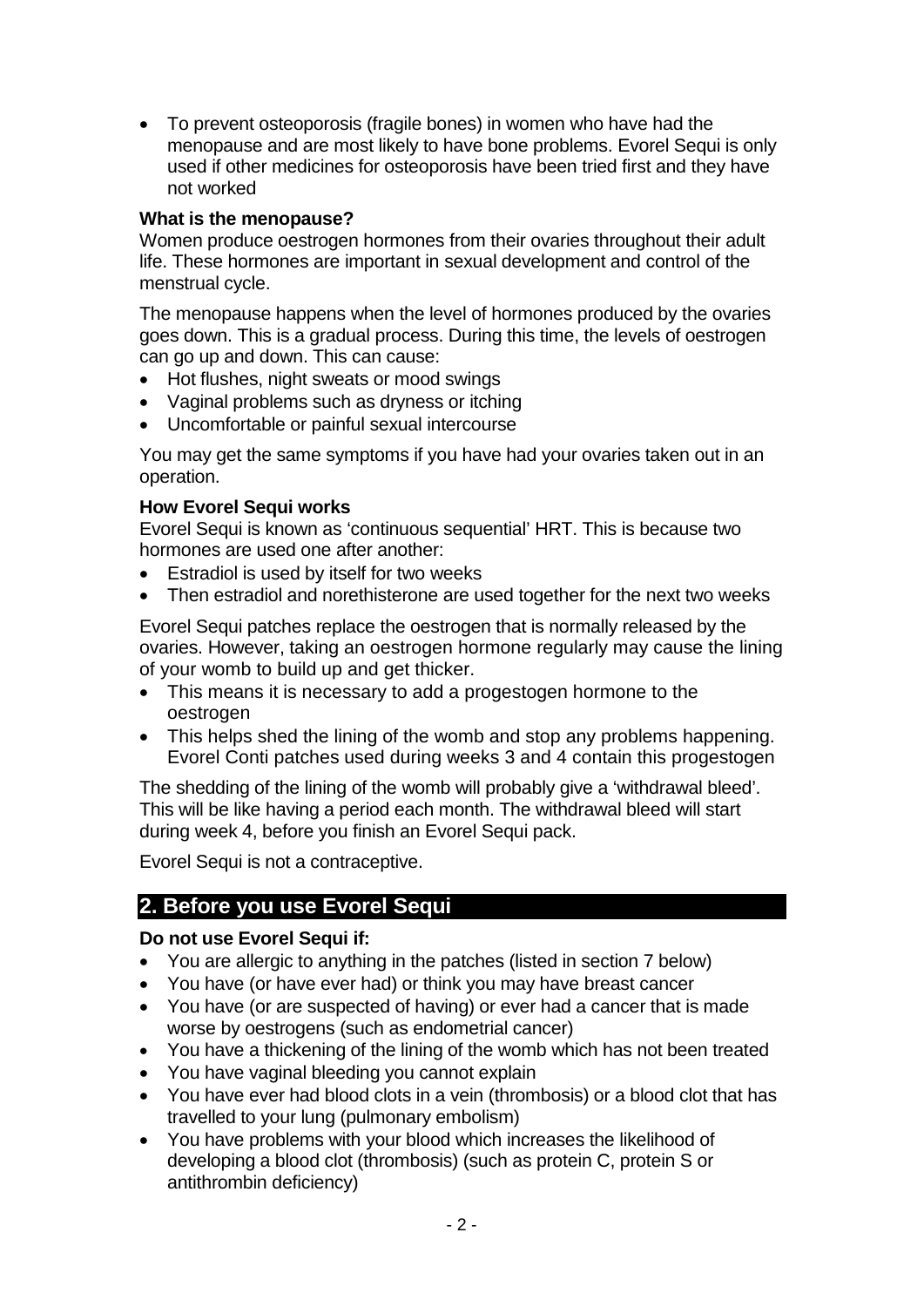• To prevent osteoporosis (fragile bones) in women who have had the menopause and are most likely to have bone problems. Evorel Sequi is only used if other medicines for osteoporosis have been tried first and they have not worked

### **What is the menopause?**

Women produce oestrogen hormones from their ovaries throughout their adult life. These hormones are important in sexual development and control of the menstrual cycle.

The menopause happens when the level of hormones produced by the ovaries goes down. This is a gradual process. During this time, the levels of oestrogen can go up and down. This can cause:

- Hot flushes, night sweats or mood swings
- Vaginal problems such as dryness or itching
- Uncomfortable or painful sexual intercourse

You may get the same symptoms if you have had your ovaries taken out in an operation.

### **How Evorel Sequi works**

Evorel Sequi is known as 'continuous sequential' HRT. This is because two hormones are used one after another:

- Estradiol is used by itself for two weeks
- Then estradiol and norethisterone are used together for the next two weeks

Evorel Sequi patches replace the oestrogen that is normally released by the ovaries. However, taking an oestrogen hormone regularly may cause the lining of your womb to build up and get thicker.

- This means it is necessary to add a progestogen hormone to the oestrogen
- This helps shed the lining of the womb and stop any problems happening. Evorel Conti patches used during weeks 3 and 4 contain this progestogen

The shedding of the lining of the womb will probably give a 'withdrawal bleed'. This will be like having a period each month. The withdrawal bleed will start during week 4, before you finish an Evorel Sequi pack.

Evorel Sequi is not a contraceptive.

# **2. Before you use Evorel Sequi**

### **Do not use Evorel Sequi if:**

- You are allergic to anything in the patches (listed in section 7 below)
- You have (or have ever had) or think you may have breast cancer
- You have (or are suspected of having) or ever had a cancer that is made worse by oestrogens (such as endometrial cancer)
- You have a thickening of the lining of the womb which has not been treated
- You have vaginal bleeding you cannot explain
- You have ever had blood clots in a vein (thrombosis) or a blood clot that has travelled to your lung (pulmonary embolism)
- You have problems with your blood which increases the likelihood of developing a blood clot (thrombosis) (such as protein C, protein S or antithrombin deficiency)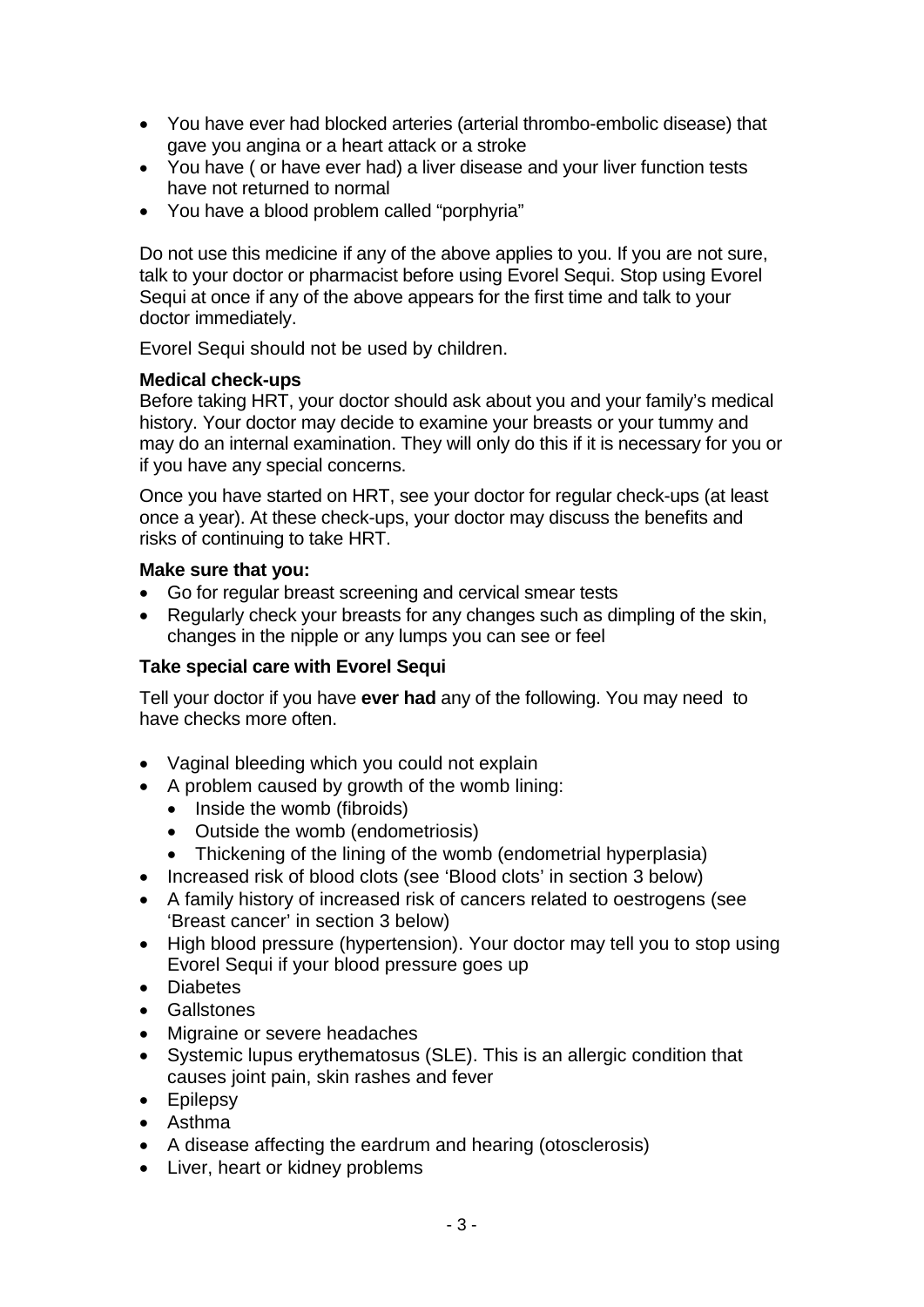- You have ever had blocked arteries (arterial thrombo-embolic disease) that gave you angina or a heart attack or a stroke
- You have ( or have ever had) a liver disease and your liver function tests have not returned to normal
- You have a blood problem called "porphyria"

Do not use this medicine if any of the above applies to you. If you are not sure, talk to your doctor or pharmacist before using Evorel Sequi. Stop using Evorel Sequi at once if any of the above appears for the first time and talk to your doctor immediately.

Evorel Sequi should not be used by children.

### **Medical check-ups**

Before taking HRT, your doctor should ask about you and your family's medical history. Your doctor may decide to examine your breasts or your tummy and may do an internal examination. They will only do this if it is necessary for you or if you have any special concerns.

Once you have started on HRT, see your doctor for regular check-ups (at least once a year). At these check-ups, your doctor may discuss the benefits and risks of continuing to take HRT.

#### **Make sure that you:**

- Go for regular breast screening and cervical smear tests
- Regularly check your breasts for any changes such as dimpling of the skin, changes in the nipple or any lumps you can see or feel

### **Take special care with Evorel Sequi**

Tell your doctor if you have **ever had** any of the following. You may need to have checks more often.

- Vaginal bleeding which you could not explain
- A problem caused by growth of the womb lining:
	- Inside the womb (fibroids)
	- Outside the womb (endometriosis)
	- Thickening of the lining of the womb (endometrial hyperplasia)
- Increased risk of blood clots (see 'Blood clots' in section 3 below)
- A family history of increased risk of cancers related to oestrogens (see 'Breast cancer' in section 3 below)
- High blood pressure (hypertension). Your doctor may tell you to stop using Evorel Sequi if your blood pressure goes up
- Diabetes
- Gallstones
- Migraine or severe headaches
- Systemic lupus erythematosus (SLE). This is an allergic condition that causes joint pain, skin rashes and fever
- Epilepsy
- Asthma
- A disease affecting the eardrum and hearing (otosclerosis)
- Liver, heart or kidney problems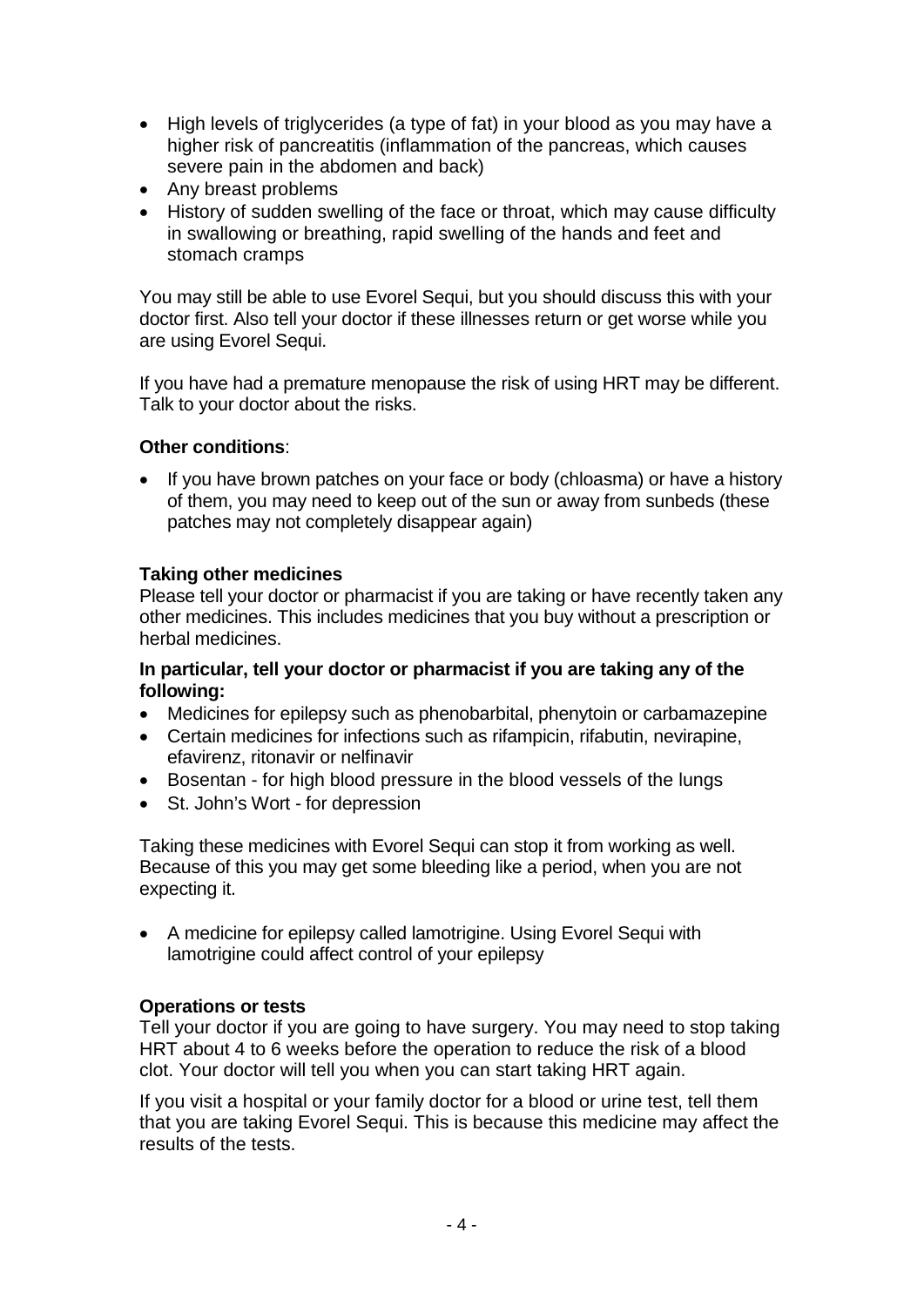- High levels of triglycerides (a type of fat) in your blood as you may have a higher risk of pancreatitis (inflammation of the pancreas, which causes severe pain in the abdomen and back)
- Any breast problems
- History of sudden swelling of the face or throat, which may cause difficulty in swallowing or breathing, rapid swelling of the hands and feet and stomach cramps

You may still be able to use Evorel Sequi, but you should discuss this with your doctor first. Also tell your doctor if these illnesses return or get worse while you are using Evorel Sequi.

If you have had a premature menopause the risk of using HRT may be different. Talk to your doctor about the risks.

### **Other conditions**:

If you have brown patches on your face or body (chloasma) or have a history of them, you may need to keep out of the sun or away from sunbeds (these patches may not completely disappear again)

### **Taking other medicines**

Please tell your doctor or pharmacist if you are taking or have recently taken any other medicines. This includes medicines that you buy without a prescription or herbal medicines.

### **In particular, tell your doctor or pharmacist if you are taking any of the following:**

- Medicines for epilepsy such as phenobarbital, phenytoin or carbamazepine
- Certain medicines for infections such as rifampicin, rifabutin, nevirapine, efavirenz, ritonavir or nelfinavir
- Bosentan for high blood pressure in the blood vessels of the lungs
- St. John's Wort for depression

Taking these medicines with Evorel Sequi can stop it from working as well. Because of this you may get some bleeding like a period, when you are not expecting it.

• A medicine for epilepsy called lamotrigine. Using Evorel Sequi with lamotrigine could affect control of your epilepsy

# **Operations or tests**

Tell your doctor if you are going to have surgery. You may need to stop taking HRT about 4 to 6 weeks before the operation to reduce the risk of a blood clot. Your doctor will tell you when you can start taking HRT again.

If you visit a hospital or your family doctor for a blood or urine test, tell them that you are taking Evorel Sequi. This is because this medicine may affect the results of the tests.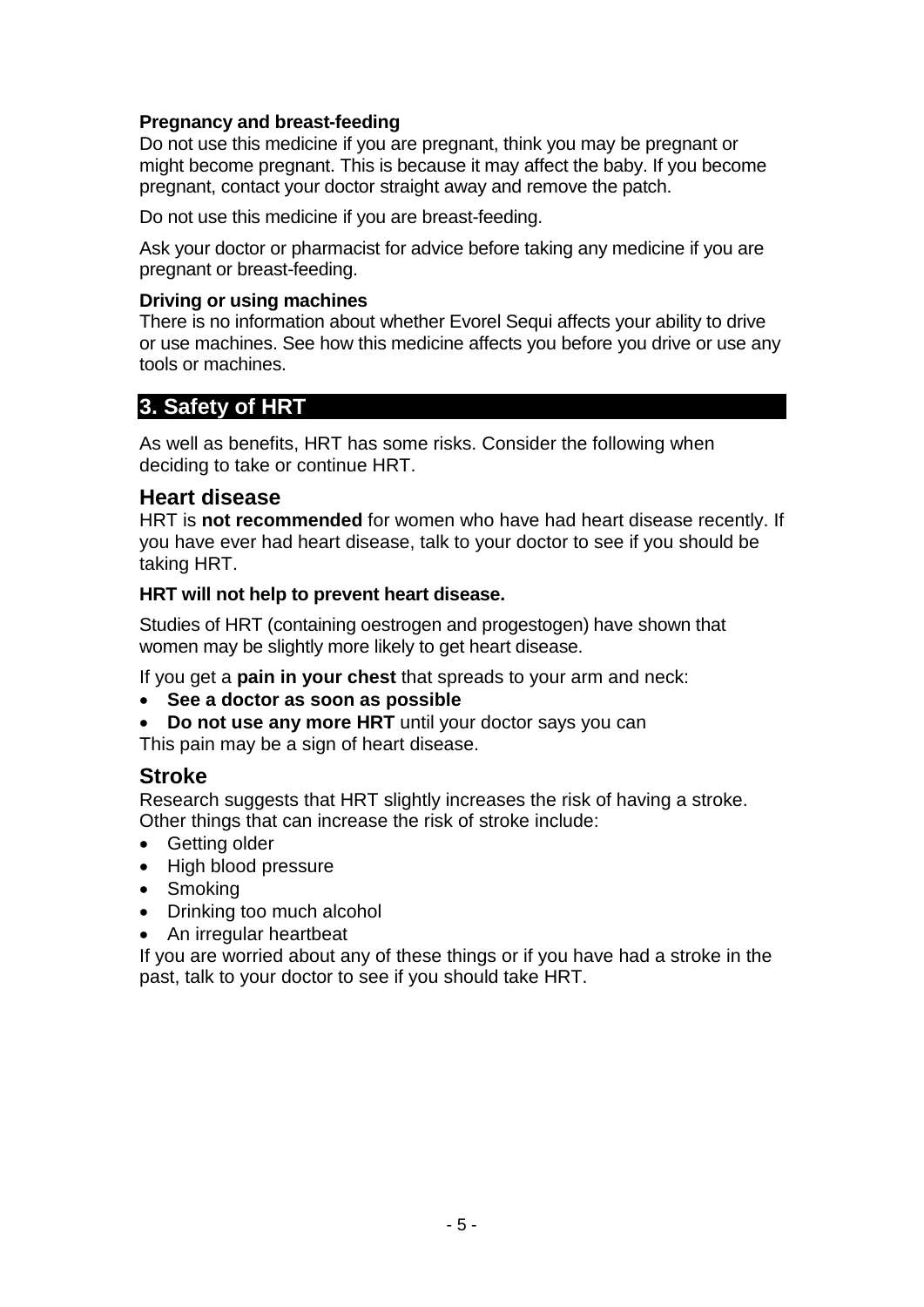# **Pregnancy and breast-feeding**

Do not use this medicine if you are pregnant, think you may be pregnant or might become pregnant. This is because it may affect the baby. If you become pregnant, contact your doctor straight away and remove the patch.

Do not use this medicine if you are breast-feeding.

Ask your doctor or pharmacist for advice before taking any medicine if you are pregnant or breast-feeding.

### **Driving or using machines**

There is no information about whether Evorel Sequi affects your ability to drive or use machines. See how this medicine affects you before you drive or use any tools or machines.

# **3. Safety of HRT**

As well as benefits, HRT has some risks. Consider the following when deciding to take or continue HRT.

# **Heart disease**

HRT is **not recommended** for women who have had heart disease recently. If you have ever had heart disease, talk to your doctor to see if you should be taking HRT.

### **HRT will not help to prevent heart disease.**

Studies of HRT (containing oestrogen and progestogen) have shown that women may be slightly more likely to get heart disease.

If you get a **pain in your chest** that spreads to your arm and neck:

- **See a doctor as soon as possible**
- **Do not use any more HRT** until your doctor says you can This pain may be a sign of heart disease.

# **Stroke**

Research suggests that HRT slightly increases the risk of having a stroke. Other things that can increase the risk of stroke include:

- Getting older
- High blood pressure
- Smoking
- Drinking too much alcohol
- An irregular heartbeat

If you are worried about any of these things or if you have had a stroke in the past, talk to your doctor to see if you should take HRT.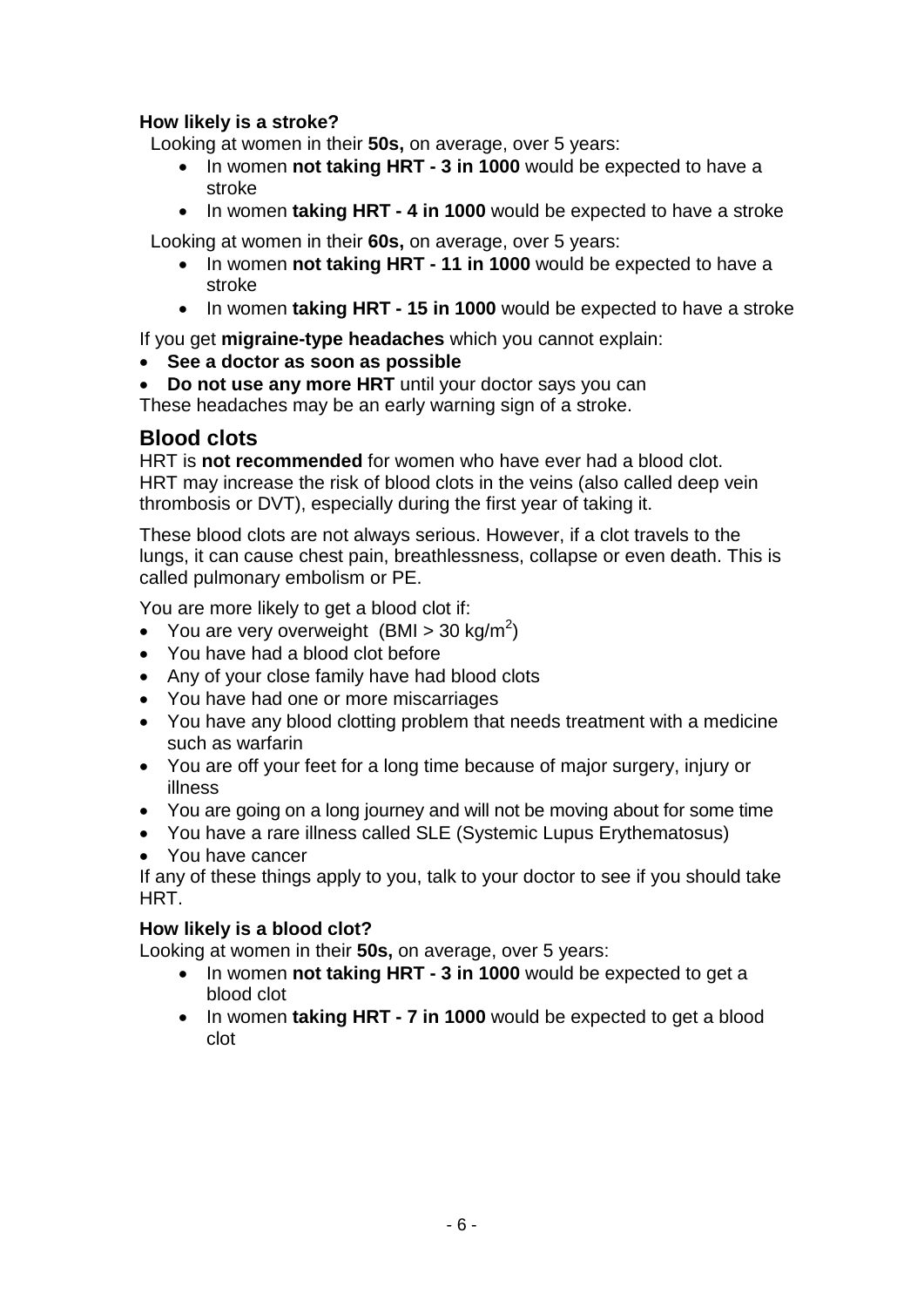# **How likely is a stroke?**

Looking at women in their **50s,** on average, over 5 years:

- In women **not taking HRT - 3 in 1000** would be expected to have a stroke
- In women **taking HRT - 4 in 1000** would be expected to have a stroke

Looking at women in their **60s,** on average, over 5 years:

- In women **not taking HRT - 11 in 1000** would be expected to have a stroke
- In women **taking HRT - 15 in 1000** would be expected to have a stroke

If you get **migraine-type headaches** which you cannot explain:

- **See a doctor as soon as possible**
- **Do not use any more HRT** until your doctor says you can

These headaches may be an early warning sign of a stroke.

# **Blood clots**

HRT is **not recommended** for women who have ever had a blood clot. HRT may increase the risk of blood clots in the veins (also called deep vein thrombosis or DVT), especially during the first year of taking it.

These blood clots are not always serious. However, if a clot travels to the lungs, it can cause chest pain, breathlessness, collapse or even death. This is called pulmonary embolism or PE.

You are more likely to get a blood clot if:

- You are very overweight (BMI > 30 kg/m<sup>2</sup>)
- You have had a blood clot before
- Any of your close family have had blood clots
- You have had one or more miscarriages
- You have any blood clotting problem that needs treatment with a medicine such as warfarin
- You are off your feet for a long time because of major surgery, injury or illness
- You are going on a long journey and will not be moving about for some time
- You have a rare illness called SLE (Systemic Lupus Erythematosus)
- You have cancer

If any of these things apply to you, talk to your doctor to see if you should take HRT.

# **How likely is a blood clot?**

Looking at women in their **50s,** on average, over 5 years:

- In women **not taking HRT - 3 in 1000** would be expected to get a blood clot
- In women **taking HRT - 7 in 1000** would be expected to get a blood clot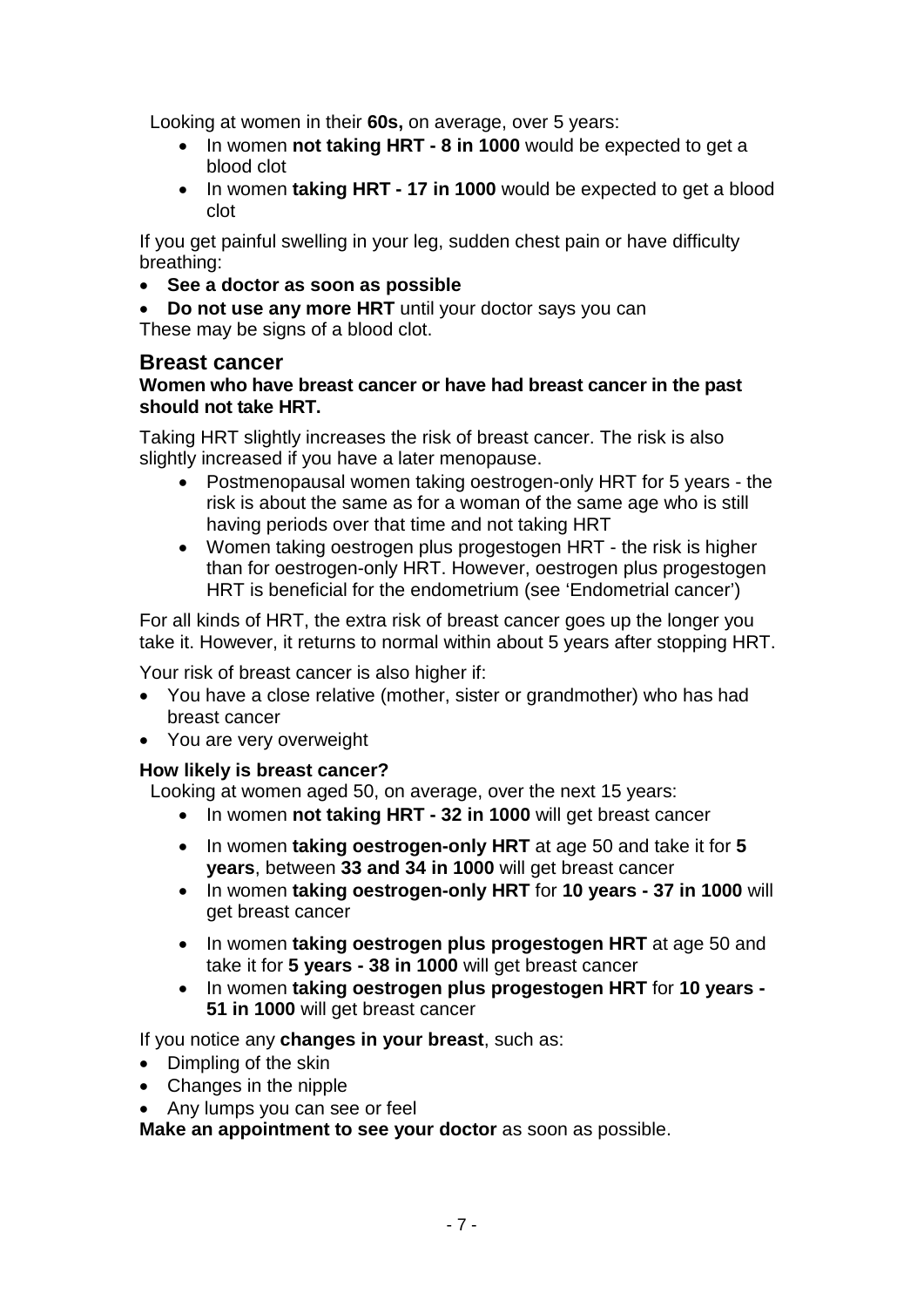Looking at women in their **60s,** on average, over 5 years:

- In women **not taking HRT - 8 in 1000** would be expected to get a blood clot
- In women **taking HRT - 17 in 1000** would be expected to get a blood clot

If you get painful swelling in your leg, sudden chest pain or have difficulty breathing:

• **See a doctor as soon as possible**

• **Do not use any more HRT** until your doctor says you can These may be signs of a blood clot.

### **Breast cancer**

### **Women who have breast cancer or have had breast cancer in the past should not take HRT.**

Taking HRT slightly increases the risk of breast cancer. The risk is also slightly increased if you have a later menopause.

- Postmenopausal women taking oestrogen-only HRT for 5 years the risk is about the same as for a woman of the same age who is still having periods over that time and not taking HRT
- Women taking oestrogen plus progestogen HRT the risk is higher than for oestrogen-only HRT. However, oestrogen plus progestogen HRT is beneficial for the endometrium (see 'Endometrial cancer')

For all kinds of HRT, the extra risk of breast cancer goes up the longer you take it. However, it returns to normal within about 5 years after stopping HRT.

Your risk of breast cancer is also higher if:

- You have a close relative (mother, sister or grandmother) who has had breast cancer
- You are very overweight

# **How likely is breast cancer?**

Looking at women aged 50, on average, over the next 15 years:

- In women **not taking HRT - 32 in 1000** will get breast cancer
- In women **taking oestrogen-only HRT** at age 50 and take it for **5 years**, between **33 and 34 in 1000** will get breast cancer
- In women **taking oestrogen-only HRT** for **10 years - 37 in 1000** will get breast cancer
- In women **taking oestrogen plus progestogen HRT** at age 50 and take it for **5 years - 38 in 1000** will get breast cancer
- In women **taking oestrogen plus progestogen HRT** for **10 years - 51 in 1000** will get breast cancer

If you notice any **changes in your breast**, such as:

- Dimpling of the skin
- Changes in the nipple
- Any lumps you can see or feel

**Make an appointment to see your doctor** as soon as possible.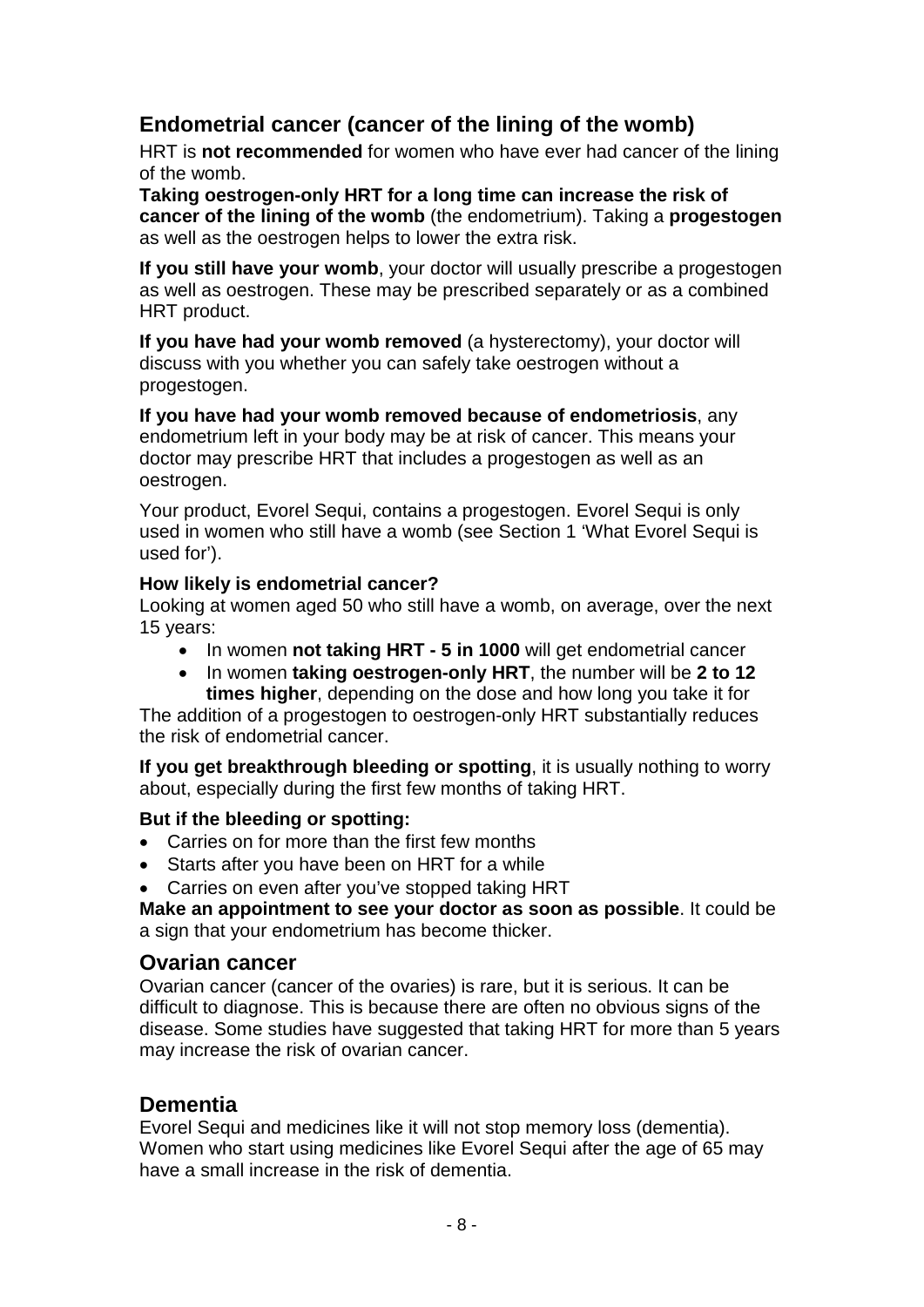# **Endometrial cancer (cancer of the lining of the womb)**

HRT is **not recommended** for women who have ever had cancer of the lining of the womb.

**Taking oestrogen-only HRT for a long time can increase the risk of cancer of the lining of the womb** (the endometrium). Taking a **progestogen** as well as the oestrogen helps to lower the extra risk.

**If you still have your womb**, your doctor will usually prescribe a progestogen as well as oestrogen. These may be prescribed separately or as a combined HRT product.

**If you have had your womb removed** (a hysterectomy), your doctor will discuss with you whether you can safely take oestrogen without a progestogen.

**If you have had your womb removed because of endometriosis**, any endometrium left in your body may be at risk of cancer. This means your doctor may prescribe HRT that includes a progestogen as well as an oestrogen.

Your product, Evorel Sequi, contains a progestogen. Evorel Sequi is only used in women who still have a womb (see Section 1 'What Evorel Sequi is used for').

### **How likely is endometrial cancer?**

Looking at women aged 50 who still have a womb, on average, over the next 15 years:

- In women **not taking HRT - 5 in 1000** will get endometrial cancer
- In women **taking oestrogen-only HRT**, the number will be **2 to 12 times higher**, depending on the dose and how long you take it for

The addition of a progestogen to oestrogen-only HRT substantially reduces the risk of endometrial cancer.

**If you get breakthrough bleeding or spotting**, it is usually nothing to worry about, especially during the first few months of taking HRT.

# **But if the bleeding or spotting:**

- Carries on for more than the first few months
- Starts after you have been on HRT for a while
- Carries on even after you've stopped taking HRT

**Make an appointment to see your doctor as soon as possible**. It could be a sign that your endometrium has become thicker.

# **Ovarian cancer**

Ovarian cancer (cancer of the ovaries) is rare, but it is serious. It can be difficult to diagnose. This is because there are often no obvious signs of the disease. Some studies have suggested that taking HRT for more than 5 years may increase the risk of ovarian cancer.

# **Dementia**

Evorel Sequi and medicines like it will not stop memory loss (dementia). Women who start using medicines like Evorel Sequi after the age of 65 may have a small increase in the risk of dementia.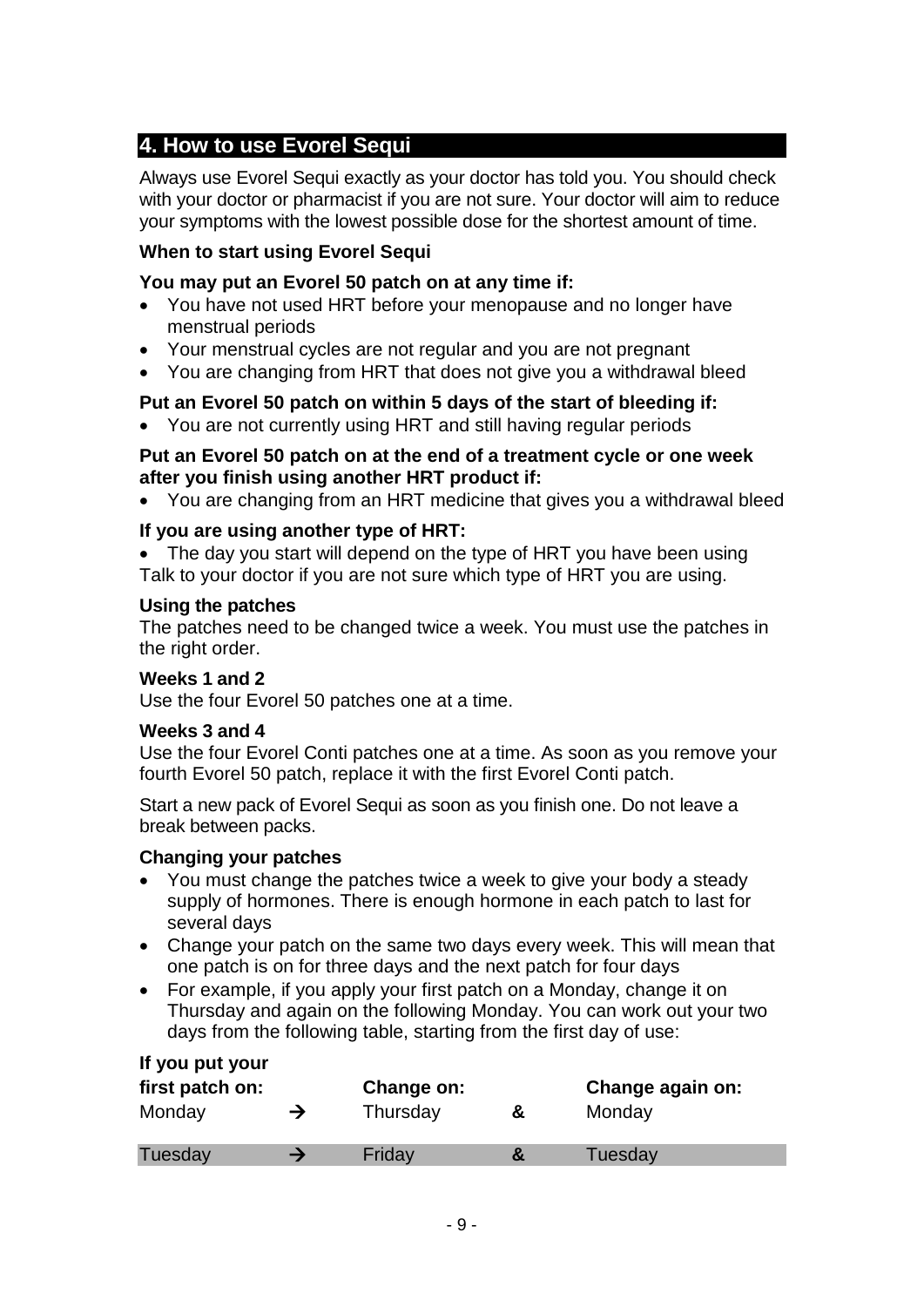# **4. How to use Evorel Sequi**

Always use Evorel Sequi exactly as your doctor has told you. You should check with your doctor or pharmacist if you are not sure. Your doctor will aim to reduce your symptoms with the lowest possible dose for the shortest amount of time.

### **When to start using Evorel Sequi**

### **You may put an Evorel 50 patch on at any time if:**

- You have not used HRT before your menopause and no longer have menstrual periods
- Your menstrual cycles are not regular and you are not pregnant
- You are changing from HRT that does not give you a withdrawal bleed

# **Put an Evorel 50 patch on within 5 days of the start of bleeding if:**

• You are not currently using HRT and still having regular periods

### **Put an Evorel 50 patch on at the end of a treatment cycle or one week after you finish using another HRT product if:**

• You are changing from an HRT medicine that gives you a withdrawal bleed

### **If you are using another type of HRT:**

The day you start will depend on the type of HRT you have been using Talk to your doctor if you are not sure which type of HRT you are using.

### **Using the patches**

The patches need to be changed twice a week. You must use the patches in the right order.

### **Weeks 1 and 2**

Use the four Evorel 50 patches one at a time.

### **Weeks 3 and 4**

Use the four Evorel Conti patches one at a time. As soon as you remove your fourth Evorel 50 patch, replace it with the first Evorel Conti patch.

Start a new pack of Evorel Sequi as soon as you finish one. Do not leave a break between packs.

### **Changing your patches**

- You must change the patches twice a week to give your body a steady supply of hormones. There is enough hormone in each patch to last for several days
- Change your patch on the same two days every week. This will mean that one patch is on for three days and the next patch for four days
- For example, if you apply your first patch on a Monday, change it on Thursday and again on the following Monday. You can work out your two days from the following table, starting from the first day of use:

| If you put your |  |  |
|-----------------|--|--|
|-----------------|--|--|

| first patch on: | Change on: |   | Change again on: |
|-----------------|------------|---|------------------|
| Monday          | Thursday   | ă | Monday           |
| Tuesday         | Friday     |   | Tuesday          |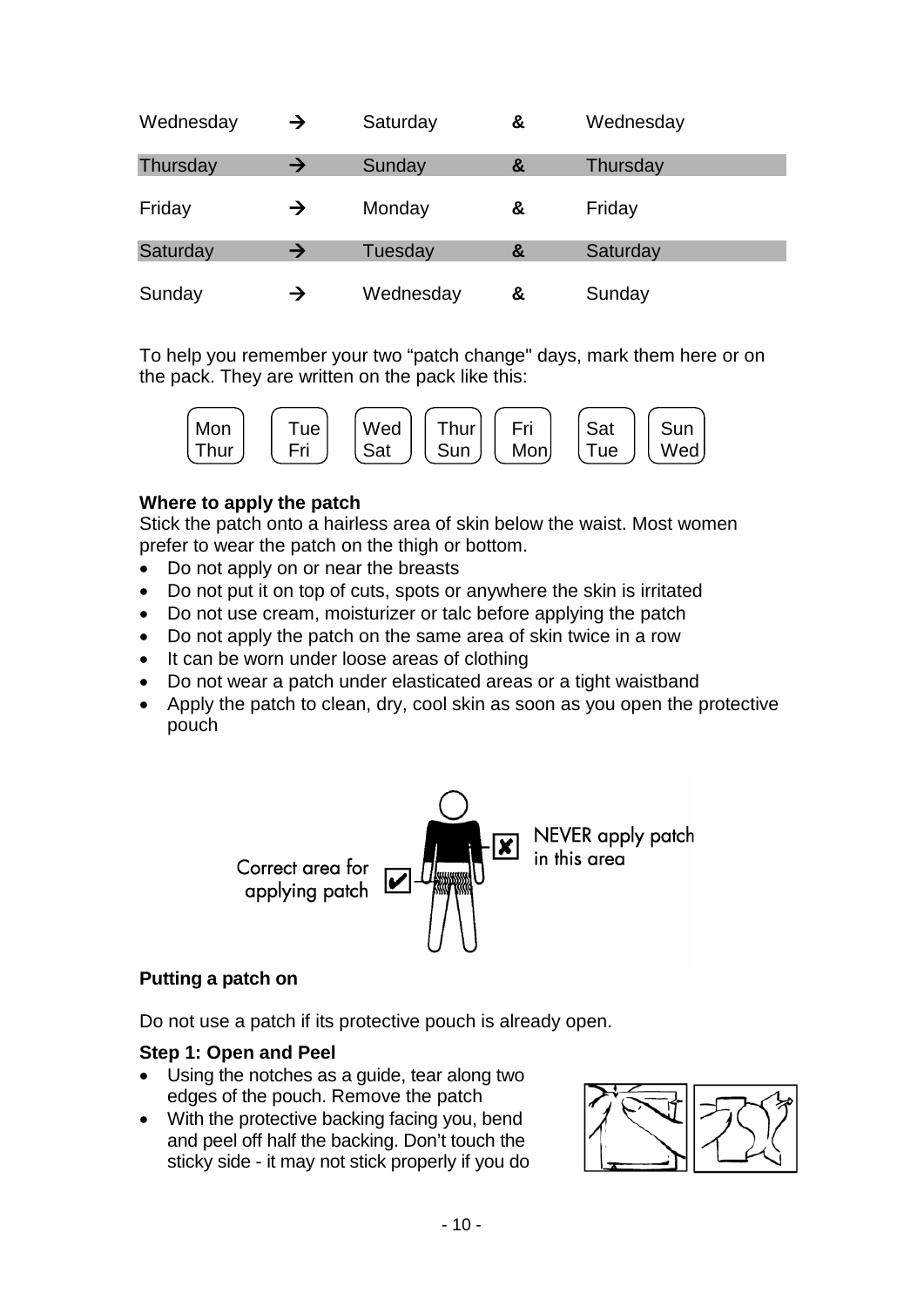| Wednesday | $\rightarrow$ | Saturday  | & | Wednesday |
|-----------|---------------|-----------|---|-----------|
| Thursday  | $\rightarrow$ | Sunday    | & | Thursday  |
| Friday    | →             | Monday    | & | Friday    |
| Saturday  | $\rightarrow$ | Tuesday   | & | Saturday  |
| Sunday    | →             | Wednesday | & | Sunday    |

To help you remember your two "patch change" days, mark them here or on the pack. They are written on the pack like this:



### **Where to apply the patch**

Stick the patch onto a hairless area of skin below the waist. Most women prefer to wear the patch on the thigh or bottom.

- Do not apply on or near the breasts
- Do not put it on top of cuts, spots or anywhere the skin is irritated
- Do not use cream, moisturizer or talc before applying the patch
- Do not apply the patch on the same area of skin twice in a row
- It can be worn under loose areas of clothing
- Do not wear a patch under elasticated areas or a tight waistband
- Apply the patch to clean, dry, cool skin as soon as you open the protective pouch



### **Putting a patch on**

Do not use a patch if its protective pouch is already open.

### **Step 1: Open and Peel**

- Using the notches as a guide, tear along two edges of the pouch. Remove the patch
- With the protective backing facing you, bend and peel off half the backing. Don't touch the sticky side - it may not stick properly if you do

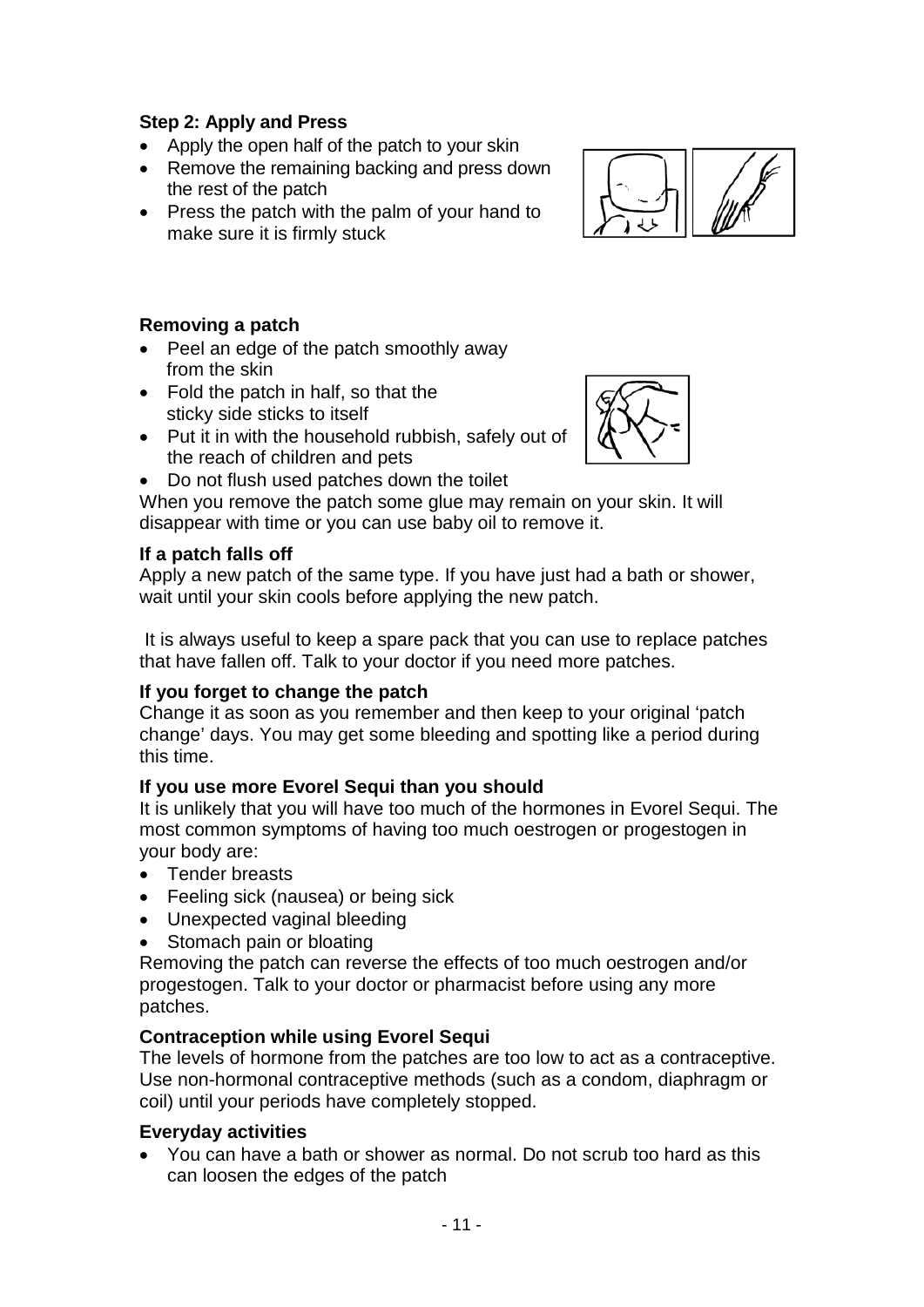# **Step 2: Apply and Press**

- Apply the open half of the patch to your skin
- Remove the remaining backing and press down the rest of the patch
- Press the patch with the palm of your hand to make sure it is firmly stuck



# **Removing a patch**

- Peel an edge of the patch smoothly away from the skin
- Fold the patch in half, so that the sticky side sticks to itself
- Put it in with the household rubbish, safely out of the reach of children and pets
- Do not flush used patches down the toilet

When you remove the patch some glue may remain on your skin. It will disappear with time or you can use baby oil to remove it.

### **If a patch falls off**

Apply a new patch of the same type. If you have just had a bath or shower, wait until your skin cools before applying the new patch.

It is always useful to keep a spare pack that you can use to replace patches that have fallen off. Talk to your doctor if you need more patches.

# **If you forget to change the patch**

Change it as soon as you remember and then keep to your original 'patch change' days. You may get some bleeding and spotting like a period during this time.

# **If you use more Evorel Sequi than you should**

It is unlikely that you will have too much of the hormones in Evorel Sequi. The most common symptoms of having too much oestrogen or progestogen in your body are:

- Tender breasts
- Feeling sick (nausea) or being sick
- Unexpected vaginal bleeding
- Stomach pain or bloating

Removing the patch can reverse the effects of too much oestrogen and/or progestogen. Talk to your doctor or pharmacist before using any more patches.

# **Contraception while using Evorel Sequi**

The levels of hormone from the patches are too low to act as a contraceptive. Use non-hormonal contraceptive methods (such as a condom, diaphragm or coil) until your periods have completely stopped.

# **Everyday activities**

• You can have a bath or shower as normal. Do not scrub too hard as this can loosen the edges of the patch

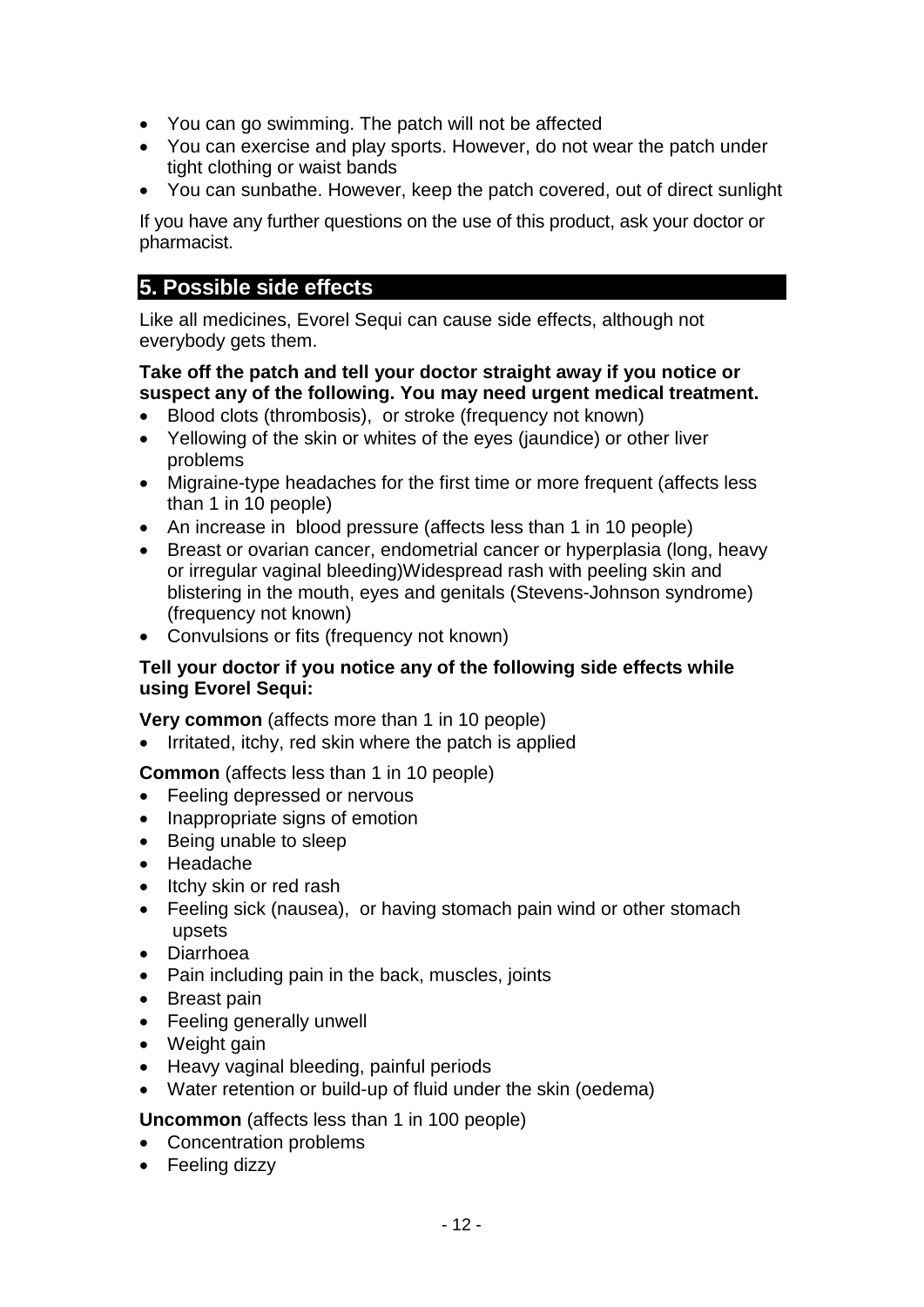- You can go swimming. The patch will not be affected
- You can exercise and play sports. However, do not wear the patch under tight clothing or waist bands
- You can sunbathe. However, keep the patch covered, out of direct sunlight

If you have any further questions on the use of this product, ask your doctor or pharmacist.

# **5. Possible side effects**

Like all medicines, Evorel Sequi can cause side effects, although not everybody gets them.

### **Take off the patch and tell your doctor straight away if you notice or suspect any of the following. You may need urgent medical treatment.**

- Blood clots (thrombosis), or stroke (frequency not known)
- Yellowing of the skin or whites of the eyes (jaundice) or other liver problems
- Migraine-type headaches for the first time or more frequent (affects less than 1 in 10 people)
- An increase in blood pressure (affects less than 1 in 10 people)
- Breast or ovarian cancer, endometrial cancer or hyperplasia (long, heavy or irregular vaginal bleeding)Widespread rash with peeling skin and blistering in the mouth, eyes and genitals (Stevens-Johnson syndrome) (frequency not known)
- Convulsions or fits (frequency not known)

### **Tell your doctor if you notice any of the following side effects while using Evorel Sequi:**

**Very common** (affects more than 1 in 10 people)

• Irritated, itchy, red skin where the patch is applied

**Common** (affects less than 1 in 10 people)

- Feeling depressed or nervous
- Inappropriate signs of emotion
- Being unable to sleep
- Headache
- Itchy skin or red rash
- Feeling sick (nausea), or having stomach pain wind or other stomach upsets
- Diarrhoea
- Pain including pain in the back, muscles, joints
- Breast pain
- Feeling generally unwell
- Weight gain
- Heavy vaginal bleeding, painful periods
- Water retention or build-up of fluid under the skin (oedema)

### **Uncommon** (affects less than 1 in 100 people)

- Concentration problems
- Feeling dizzy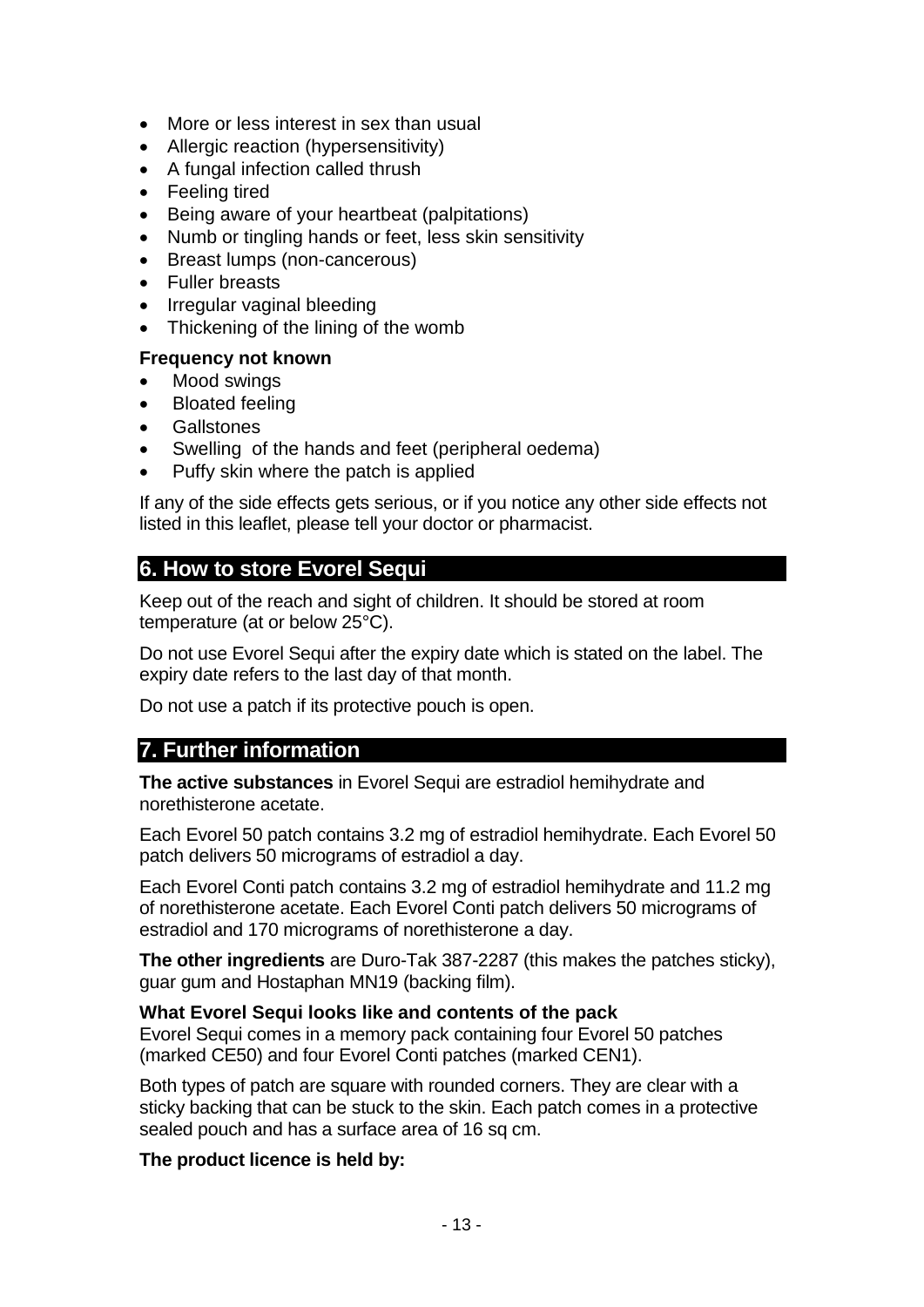- More or less interest in sex than usual
- Allergic reaction (hypersensitivity)
- A fungal infection called thrush
- Feeling tired
- Being aware of your heartbeat (palpitations)
- Numb or tingling hands or feet, less skin sensitivity
- Breast lumps (non-cancerous)
- Fuller breasts
- Irregular vaginal bleeding
- Thickening of the lining of the womb

### **Frequency not known**

- Mood swings
- Bloated feeling
- **Gallstones**
- Swelling of the hands and feet (peripheral oedema)
- Puffy skin where the patch is applied

If any of the side effects gets serious, or if you notice any other side effects not listed in this leaflet, please tell your doctor or pharmacist.

# **6. How to store Evorel Sequi**

Keep out of the reach and sight of children. It should be stored at room temperature (at or below 25°C).

Do not use Evorel Sequi after the expiry date which is stated on the label. The expiry date refers to the last day of that month.

Do not use a patch if its protective pouch is open.

# **7. Further information**

**The active substances** in Evorel Sequi are estradiol hemihydrate and norethisterone acetate.

Each Evorel 50 patch contains 3.2 mg of estradiol hemihydrate. Each Evorel 50 patch delivers 50 micrograms of estradiol a day.

Each Evorel Conti patch contains 3.2 mg of estradiol hemihydrate and 11.2 mg of norethisterone acetate. Each Evorel Conti patch delivers 50 micrograms of estradiol and 170 micrograms of norethisterone a day.

**The other ingredients** are Duro-Tak 387-2287 (this makes the patches sticky), guar gum and Hostaphan MN19 (backing film).

### **What Evorel Sequi looks like and contents of the pack**

Evorel Sequi comes in a memory pack containing four Evorel 50 patches (marked CE50) and four Evorel Conti patches (marked CEN1).

Both types of patch are square with rounded corners. They are clear with a sticky backing that can be stuck to the skin. Each patch comes in a protective sealed pouch and has a surface area of 16 sq cm.

**The product licence is held by:**